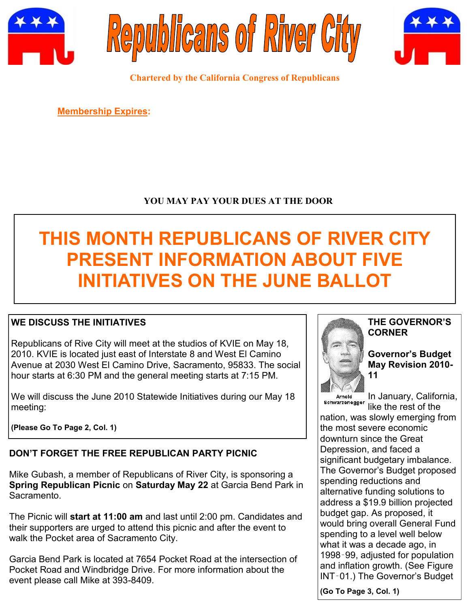





**Chartered by the California Congress of Republicans**

**Membership Expires:** 

# **YOU MAY PAY YOUR DUES AT THE DOOR**

# **THIS MONTH REPUBLICANS OF RIVER CITY PRESENT INFORMATION ABOUT FIVE INITIATIVES ON THE JUNE BALLOT**

# **WE DISCUSS THE INITIATIVES**

Republicans of Rive City will meet at the studios of KVIE on May 18, 2010. KVIE is located just east of Interstate 8 and West El Camino Avenue at 2030 West El Camino Drive, Sacramento, 95833. The social hour starts at 6:30 PM and the general meeting starts at 7:15 PM.

We will discuss the June 2010 Statewide Initiatives during our May 18 meeting:

**(Please Go To Page 2, Col. 1)**

# **DON'T FORGET THE FREE REPUBLICAN PARTY PICNIC**

Mike Gubash, a member of Republicans of River City, is sponsoring a **Spring Republican Picnic** on **Saturday May 22** at Garcia Bend Park in Sacramento.

The Picnic will **start at 11:00 am** and last until 2:00 pm. Candidates and their supporters are urged to attend this picnic and after the event to walk the Pocket area of Sacramento City.

Garcia Bend Park is located at 7654 Pocket Road at the intersection of Pocket Road and Windbridge Drive. For more information about the event please call Mike at 393-8409.



#### **THE GOVERNOR'S CORNER**

#### **Governor's Budget May Revision 2010- 11**

Arnold Arrioid<br>Schwarzenegger

In January, California, like the rest of the

nation, was slowly emerging from the most severe economic downturn since the Great Depression, and faced a significant budgetary imbalance. The Governor's Budget proposed spending reductions and alternative funding solutions to address a \$19.9 billion projected budget gap. As proposed, it would bring overall General Fund spending to a level well below what it was a decade ago, in 1998‑99, adjusted for population and inflation growth. (See Figure INT‑01.) The Governor's Budget

**(Go To Page 3, Col. 1)**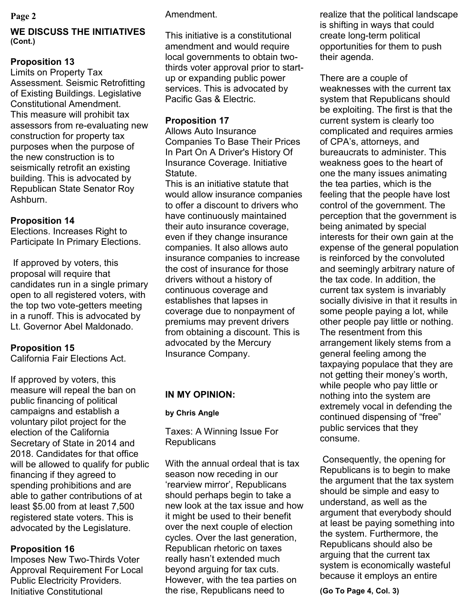### **WE DISCUSS THE INITIATIVES (Cont.)**

# **Proposition 13**

Limits on Property Tax Assessment. Seismic Retrofitting of Existing Buildings. Legislative Constitutional Amendment. This measure will prohibit tax assessors from re-evaluating new construction for property tax purposes when the purpose of the new construction is to seismically retrofit an existing building. This is advocated by Republican State Senator Roy Ashburn.

# **Proposition 14**

Elections. Increases Right to Participate In Primary Elections.

If approved by voters, this proposal will require that candidates run in a single primary open to all registered voters, with the top two vote-getters meeting in a runoff. This is advocated by Lt. Governor Abel Maldonado.

# **Proposition 15**

California Fair Elections Act.

If approved by voters, this measure will repeal the ban on public financing of political campaigns and establish a voluntary pilot project for the election of the California Secretary of State in 2014 and 2018. Candidates for that office will be allowed to qualify for public financing if they agreed to spending prohibitions and are able to gather contributions of at least \$5.00 from at least 7,500 registered state voters. This is advocated by the Legislature.

# **Proposition 16**

Imposes New Two-Thirds Voter Approval Requirement For Local Public Electricity Providers. Initiative Constitutional

## **Page 2** Amendment.

This initiative is a constitutional amendment and would require local governments to obtain twothirds voter approval prior to startup or expanding public power services. This is advocated by Pacific Gas & Electric.

# **Proposition 17**

Allows Auto Insurance Companies To Base Their Prices In Part On A Driver's History Of Insurance Coverage. Initiative Statute.

This is an initiative statute that would allow insurance companies to offer a discount to drivers who have continuously maintained their auto insurance coverage, even if they change insurance companies. It also allows auto insurance companies to increase the cost of insurance for those drivers without a history of continuous coverage and establishes that lapses in coverage due to nonpayment of premiums may prevent drivers from obtaining a discount. This is advocated by the Mercury Insurance Company.

# **IN MY OPINION:**

# **by Chris Angle**

Taxes: A Winning Issue For **Republicans** 

With the annual ordeal that is tax season now receding in our ‗rearview mirror', Republicans should perhaps begin to take a new look at the tax issue and how it might be used to their benefit over the next couple of election cycles. Over the last generation, Republican rhetoric on taxes really hasn't extended much beyond arguing for tax cuts. However, with the tea parties on the rise, Republicans need to

realize that the political landscape is shifting in ways that could create long-term political opportunities for them to push their agenda.

There are a couple of weaknesses with the current tax system that Republicans should be exploiting. The first is that the current system is clearly too complicated and requires armies of CPA's, attorneys, and bureaucrats to administer. This weakness goes to the heart of one the many issues animating the tea parties, which is the feeling that the people have lost control of the government. The perception that the government is being animated by special interests for their own gain at the expense of the general population is reinforced by the convoluted and seemingly arbitrary nature of the tax code. In addition, the current tax system is invariably socially divisive in that it results in some people paying a lot, while other people pay little or nothing. The resentment from this arrangement likely stems from a general feeling among the taxpaying populace that they are not getting their money's worth, while people who pay little or nothing into the system are extremely vocal in defending the continued dispensing of "free" public services that they consume.

Consequently, the opening for Republicans is to begin to make the argument that the tax system should be simple and easy to understand, as well as the argument that everybody should at least be paying something into the system. Furthermore, the Republicans should also be arguing that the current tax system is economically wasteful because it employs an entire

**(Go To Page 4, Col. 3)**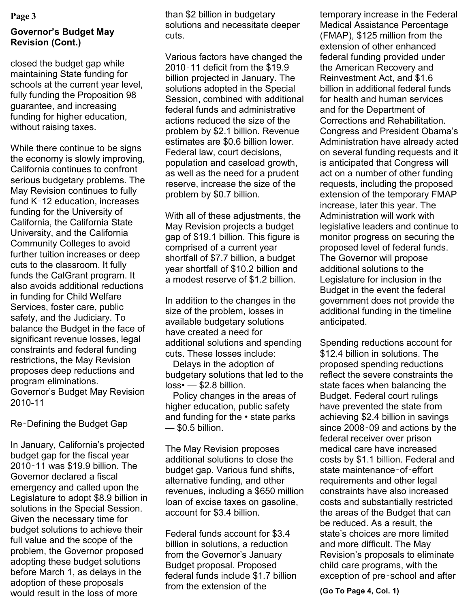#### **Page 3**

### **Governor's Budget May Revision (Cont.)**

closed the budget gap while maintaining State funding for schools at the current year level, fully funding the Proposition 98 guarantee, and increasing funding for higher education, without raising taxes.

While there continue to be signs the economy is slowly improving, California continues to confront serious budgetary problems. The May Revision continues to fully fund K‑12 education, increases funding for the University of California, the California State University, and the California Community Colleges to avoid further tuition increases or deep cuts to the classroom. It fully funds the CalGrant program. It also avoids additional reductions in funding for Child Welfare Services, foster care, public safety, and the Judiciary. To balance the Budget in the face of significant revenue losses, legal constraints and federal funding restrictions, the May Revision proposes deep reductions and program eliminations. Governor's Budget May Revision 2010-11

Re‑Defining the Budget Gap

In January, California's projected budget gap for the fiscal year 2010‑11 was \$19.9 billion. The Governor declared a fiscal emergency and called upon the Legislature to adopt \$8.9 billion in solutions in the Special Session. Given the necessary time for budget solutions to achieve their full value and the scope of the problem, the Governor proposed adopting these budget solutions before March 1, as delays in the adoption of these proposals would result in the loss of more

than \$2 billion in budgetary solutions and necessitate deeper cuts.

Various factors have changed the 2010‑11 deficit from the \$19.9 billion projected in January. The solutions adopted in the Special Session, combined with additional federal funds and administrative actions reduced the size of the problem by \$2.1 billion. Revenue estimates are \$0.6 billion lower. Federal law, court decisions, population and caseload growth, as well as the need for a prudent reserve, increase the size of the problem by \$0.7 billion.

With all of these adjustments, the May Revision projects a budget gap of \$19.1 billion. This figure is comprised of a current year shortfall of \$7.7 billion, a budget year shortfall of \$10.2 billion and a modest reserve of \$1.2 billion.

In addition to the changes in the size of the problem, losses in available budgetary solutions have created a need for additional solutions and spending cuts. These losses include:

 Delays in the adoption of budgetary solutions that led to the loss• — \$2.8 billion.

 Policy changes in the areas of higher education, public safety and funding for the • state parks — \$0.5 billion.

The May Revision proposes additional solutions to close the budget gap. Various fund shifts, alternative funding, and other revenues, including a \$650 million loan of excise taxes on gasoline, account for \$3.4 billion.

Federal funds account for \$3.4 billion in solutions, a reduction from the Governor's January Budget proposal. Proposed federal funds include \$1.7 billion from the extension of the

temporary increase in the Federal Medical Assistance Percentage (FMAP), \$125 million from the extension of other enhanced federal funding provided under the American Recovery and Reinvestment Act, and \$1.6 billion in additional federal funds for health and human services and for the Department of Corrections and Rehabilitation. Congress and President Obama's Administration have already acted on several funding requests and it is anticipated that Congress will act on a number of other funding requests, including the proposed extension of the temporary FMAP increase, later this year. The Administration will work with legislative leaders and continue to monitor progress on securing the proposed level of federal funds. The Governor will propose additional solutions to the Legislature for inclusion in the Budget in the event the federal government does not provide the additional funding in the timeline anticipated.

Spending reductions account for \$12.4 billion in solutions. The proposed spending reductions reflect the severe constraints the state faces when balancing the Budget. Federal court rulings have prevented the state from achieving \$2.4 billion in savings since 2008‑09 and actions by the federal receiver over prison medical care have increased costs by \$1.1 billion. Federal and state maintenance-of-effort requirements and other legal constraints have also increased costs and substantially restricted the areas of the Budget that can be reduced. As a result, the state's choices are more limited and more difficult. The May Revision's proposals to eliminate child care programs, with the exception of pre‑school and after

**(Go To Page 4, Col. 1)**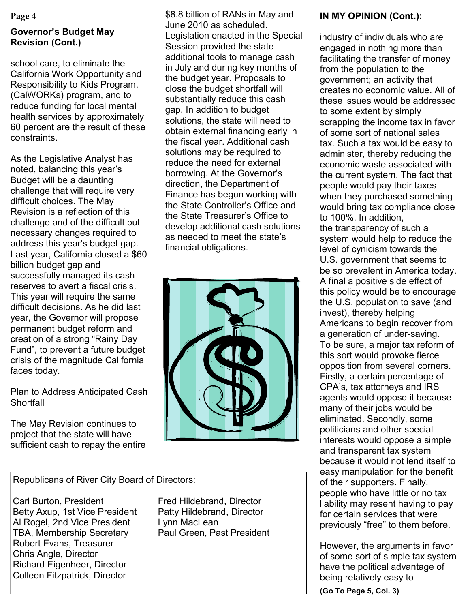#### **Page 4**

# **Governor's Budget May Revision (Cont.)**

school care, to eliminate the California Work Opportunity and Responsibility to Kids Program, (CalWORKs) program, and to reduce funding for local mental health services by approximately 60 percent are the result of these constraints.

As the Legislative Analyst has noted, balancing this year's Budget will be a daunting challenge that will require very difficult choices. The May Revision is a reflection of this challenge and of the difficult but necessary changes required to address this year's budget gap. Last year, California closed a \$60 billion budget gap and successfully managed its cash reserves to avert a fiscal crisis. This year will require the same difficult decisions. As he did last year, the Governor will propose permanent budget reform and creation of a strong "Rainy Day" Fund‖, to prevent a future budget crisis of the magnitude California faces today.

## Plan to Address Anticipated Cash **Shortfall**

The May Revision continues to project that the state will have sufficient cash to repay the entire \$8.8 billion of RANs in May and June 2010 as scheduled. Legislation enacted in the Special Session provided the state additional tools to manage cash in July and during key months of the budget year. Proposals to close the budget shortfall will substantially reduce this cash gap. In addition to budget solutions, the state will need to obtain external financing early in the fiscal year. Additional cash solutions may be required to reduce the need for external borrowing. At the Governor's direction, the Department of Finance has begun working with the State Controller's Office and the State Treasurer's Office to develop additional cash solutions as needed to meet the state's financial obligations.



Republicans of River City Board of Directors:

Carl Burton, President Fred Hildebrand, Director Betty Axup, 1st Vice President Patty Hildebrand, Director Al Rogel, 2nd Vice President Lynn MacLean TBA, Membership Secretary Paul Green, Past President Robert Evans, Treasurer Chris Angle, Director Richard Eigenheer, Director Colleen Fitzpatrick, Director

# **IN MY OPINION (Cont.):**

industry of individuals who are engaged in nothing more than facilitating the transfer of money from the population to the government; an activity that creates no economic value. All of these issues would be addressed to some extent by simply scrapping the income tax in favor of some sort of national sales tax. Such a tax would be easy to administer, thereby reducing the economic waste associated with the current system. The fact that people would pay their taxes when they purchased something would bring tax compliance close to 100%. In addition, the transparency of such a system would help to reduce the level of cynicism towards the U.S. government that seems to be so prevalent in America today. A final a positive side effect of this policy would be to encourage the U.S. population to save (and invest), thereby helping Americans to begin recover from a generation of under-saving. To be sure, a major tax reform of this sort would provoke fierce opposition from several corners. Firstly, a certain percentage of CPA's, tax attorneys and IRS agents would oppose it because many of their jobs would be eliminated. Secondly, some politicians and other special interests would oppose a simple and transparent tax system because it would not lend itself to easy manipulation for the benefit of their supporters. Finally, people who have little or no tax liability may resent having to pay for certain services that were previously "free" to them before.

However, the arguments in favor of some sort of simple tax system have the political advantage of being relatively easy to

**(Go To Page 5, Col. 3)**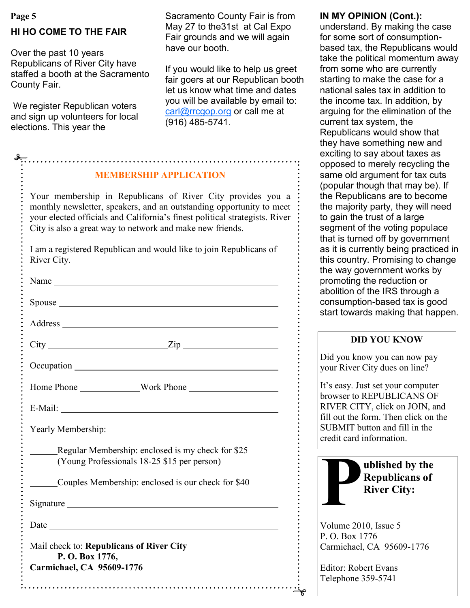# **HI HO COME TO THE FAIR**

Over the past 10 years Republicans of River City have staffed a booth at the Sacramento County Fair.

We register Republican voters and sign up volunteers for local elections. This year the

Page 5 **In the Sacramento County Fair is from IN MY OPINION (Cont.):** May 27 to the31st at Cal Expo Fair grounds and we will again have our booth.

> If you would like to help us greet fair goers at our Republican booth let us know what time and dates you will be available by email to: [carl@rrcgop.org](mailto:carl@rrcgop.org) or call me at (916) 485-5741.

| <b>MEMBERSHIP APPLICATION</b>                                                                                                                                                                                                                                                   |
|---------------------------------------------------------------------------------------------------------------------------------------------------------------------------------------------------------------------------------------------------------------------------------|
| Your membership in Republicans of River City provides you a<br>monthly newsletter, speakers, and an outstanding opportunity to meet<br>your elected officials and California's finest political strategists. River<br>City is also a great way to network and make new friends. |
| I am a registered Republican and would like to join Republicans of<br>River City.                                                                                                                                                                                               |
|                                                                                                                                                                                                                                                                                 |
| Spouse <u>example and the set of the set of the set of the set of the set of the set of the set of the set of the set of the set of the set of the set of the set of the set of the set of the set of the set of the set of the </u>                                            |
|                                                                                                                                                                                                                                                                                 |
| $City$ $Zip$                                                                                                                                                                                                                                                                    |
|                                                                                                                                                                                                                                                                                 |
|                                                                                                                                                                                                                                                                                 |
| E-Mail: $\qquad \qquad \qquad$                                                                                                                                                                                                                                                  |
| Yearly Membership:                                                                                                                                                                                                                                                              |
| Regular Membership: enclosed is my check for \$25<br>(Young Professionals 18-25 \$15 per person)                                                                                                                                                                                |
| Couples Membership: enclosed is our check for \$40                                                                                                                                                                                                                              |
| Signature Signature Signature Signature Signature Signature Signature Signature Signature Signature Signature Signature Signature Signature Signature Signature Signature Signature Signature Signature Signature Signature Si                                                  |
| Date                                                                                                                                                                                                                                                                            |
| Mail check to: Republicans of River City<br>P.O. Box 1776,                                                                                                                                                                                                                      |

understand. By making the case for some sort of consumptionbased tax, the Republicans would take the political momentum away from some who are currently starting to make the case for a national sales tax in addition to the income tax. In addition, by arguing for the elimination of the current tax system, the Republicans would show that they have something new and exciting to say about taxes as opposed to merely recycling the same old argument for tax cuts (popular though that may be). If the Republicans are to become the majority party, they will need to gain the trust of a large segment of the voting populace that is turned off by government as it is currently being practiced in this country. Promising to change the way government works by promoting the reduction or abolition of the IRS through a consumption-based tax is good start towards making that happen.

#### **DID YOU KNOW**

Did you know you can now pay your River City dues on line?

It's easy. Just set your computer browser to REPUBLICANS OF RIVER CITY, click on JOIN, and fill out the form. Then click on the SUBMIT button and fill in the credit card information.



Volume 2010, Issue 5 P. O. Box 1776 Carmichael, CA 95609-1776

Editor: Robert Evans Telephone 359-5741